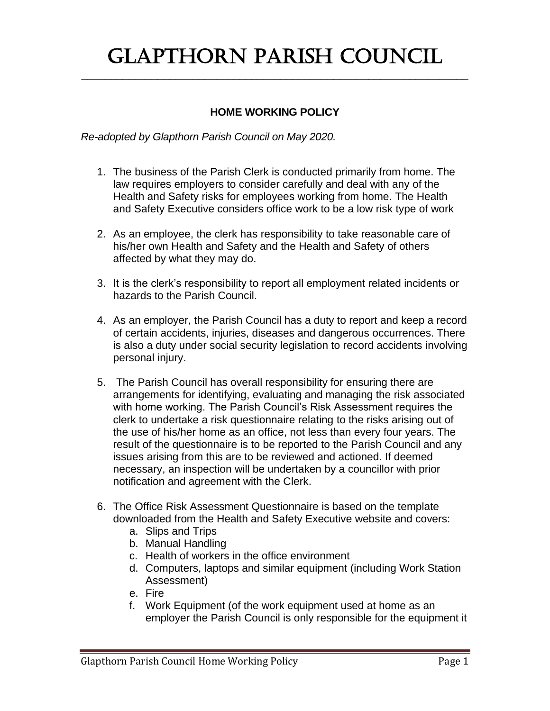## Glapthorn Parish Council

**\_\_\_\_\_\_\_\_\_\_\_\_\_\_\_\_\_\_\_\_\_\_\_\_\_\_\_\_\_\_\_\_\_\_\_\_\_\_\_\_\_\_\_\_\_\_\_\_\_\_\_\_\_\_\_\_\_\_\_\_\_\_\_\_\_\_**

## **HOME WORKING POLICY**

*Re-adopted by Glapthorn Parish Council on May 2020.*

- 1. The business of the Parish Clerk is conducted primarily from home. The law requires employers to consider carefully and deal with any of the Health and Safety risks for employees working from home. The Health and Safety Executive considers office work to be a low risk type of work
- 2. As an employee, the clerk has responsibility to take reasonable care of his/her own Health and Safety and the Health and Safety of others affected by what they may do.
- 3. It is the clerk's responsibility to report all employment related incidents or hazards to the Parish Council.
- 4. As an employer, the Parish Council has a duty to report and keep a record of certain accidents, injuries, diseases and dangerous occurrences. There is also a duty under social security legislation to record accidents involving personal injury.
- 5. The Parish Council has overall responsibility for ensuring there are arrangements for identifying, evaluating and managing the risk associated with home working. The Parish Council's Risk Assessment requires the clerk to undertake a risk questionnaire relating to the risks arising out of the use of his/her home as an office, not less than every four years. The result of the questionnaire is to be reported to the Parish Council and any issues arising from this are to be reviewed and actioned. If deemed necessary, an inspection will be undertaken by a councillor with prior notification and agreement with the Clerk.
- 6. The Office Risk Assessment Questionnaire is based on the template downloaded from the Health and Safety Executive website and covers:
	- a. Slips and Trips
	- b. Manual Handling
	- c. Health of workers in the office environment
	- d. Computers, laptops and similar equipment (including Work Station Assessment)
	- e. Fire
	- f. Work Equipment (of the work equipment used at home as an employer the Parish Council is only responsible for the equipment it